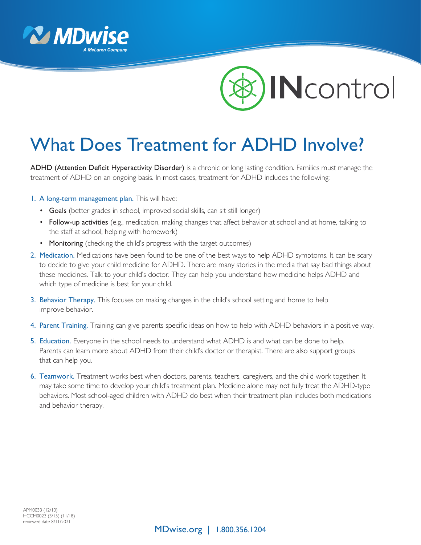



## What Does Treatment for ADHD Involve?

ADHD (Attention Deficit Hyperactivity Disorder) is a chronic or long lasting condition. Families must manage the treatment of ADHD on an ongoing basis. In most cases, treatment for ADHD includes the following:

## 1. A long-term management plan. This will have:

- Goals (better grades in school, improved social skills, can sit still longer)
- Follow-up activities (e.g., medication, making changes that affect behavior at school and at home, talking to the staff at school, helping with homework)
- Monitoring (checking the child's progress with the target outcomes)
- 2. Medication. Medications have been found to be one of the best ways to help ADHD symptoms. It can be scary to decide to give your child medicine for ADHD. There are many stories in the media that say bad things about these medicines. Talk to your child's doctor. They can help you understand how medicine helps ADHD and which type of medicine is best for your child.
- 3. Behavior Therapy. This focuses on making changes in the child's school setting and home to help improve behavior.
- 4. Parent Training. Training can give parents specific ideas on how to help with ADHD behaviors in a positive way.
- 5. Education. Everyone in the school needs to understand what ADHD is and what can be done to help. Parents can learn more about ADHD from their child's doctor or therapist. There are also support groups that can help you.
- 6. Teamwork. Treatment works best when doctors, parents, teachers, caregivers, and the child work together. It may take some time to develop your child's treatment plan. Medicine alone may not fully treat the ADHD-type behaviors. Most school-aged children with ADHD do best when their treatment plan includes both medications and behavior therapy.